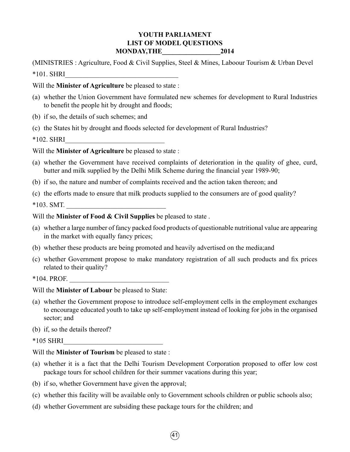## **YOUTH PARLIAMENT LIST OF MODEL QUESTIONS MONDAY,THE\_\_\_\_\_\_\_\_\_\_\_\_\_\_\_\_\_2014**

(MINISTRIES : Agriculture, Food & Civil Supplies, Steel & Mines, Laboour Tourism & Urban Devel  $*101.$  SHRI

### Will the **Minister of Agriculture** be pleased to state :

- (a) whether the Union Government have formulated new schemes for development to Rural Industries to benefit the people hit by drought and floods;
- (b) if so, the details of such schemes; and
- (c) the States hit by drought and floods selected for development of Rural Industries?

 $*102.$  SHRI

## Will the **Minister of Agriculture** be pleased to state :

- (a) whether the Government have received complaints of deterioration in the quality of ghee, curd, butter and milk supplied by the Delhi Milk Scheme during the financial year 1989-90;
- (b) if so, the nature and number of complaints received and the action taken thereon; and
- (c) the efforts made to ensure that milk products supplied to the consumers are of good quality?

 $*103. SMT.$ 

Will the **Minister of Food & Civil Supplies** be pleased to state .

- (a) whether a large number of fancy packed food products of questionable nutritional value are appearing in the market with equally fancy prices;
- (b) whether these products are being promoted and heavily advertised on the media;and
- (c) whether Government propose to make mandatory registration of all such products and fix prices related to their quality?

\*104. PROF.

- Will the **Minister of Labour** be pleased to State:
- (a) whether the Government propose to introduce self-employment cells in the employment exchanges to encourage educated youth to take up self-employment instead of looking for jobs in the organised sector; and

(b) if, so the details thereof?

 $*105$  SHRI

Will the **Minister of Tourism** be pleased to state :

- (a) whether it is a fact that the Delhi Tourism Development Corporation proposed to offer low cost package tours for school children for their summer vacations during this year;
- (b) if so, whether Government have given the approval;
- (c) whether this facility will be available only to Government schools children or public schools also;
- (d) whether Government are subsiding these package tours for the children; and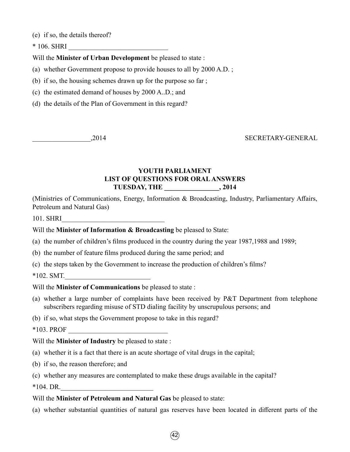(e) if so, the details thereof?

 $*$  106. SHRI

Will the **Minister of Urban Development** be pleased to state :

(a) whether Government propose to provide houses to all by 2000 A.D. ;

(b) if so, the housing schemes drawn up for the purpose so far ;

(c) the estimated demand of houses by 2000 A..D.; and

(d) the details of the Plan of Government in this regard?

\_\_\_\_\_\_\_\_\_\_\_\_\_\_\_\_\_,2014 SECRETARY-GENERAL

# **YOUTH PARLIAMENT LIST OF QUESTIONS FOR ORAL ANSWERS TUESDAY, THE \_\_\_\_\_\_\_\_\_\_\_\_\_\_\_\_, 2014**

(Ministries of Communications, Energy, Information & Broadcasting, Industry, Parliamentary Affairs, Petroleum and Natural Gas)

101. SHRI

Will the **Minister of Information & Broadcasting** be pleased to State:

- (a) the number of children's films produced in the country during the year 1987,1988 and 1989;
- (b) the number of feature films produced during the same period; and
- (c) the steps taken by the Government to increase the production of children's films?

 $*102.$  SMT.

Will the **Minister of Communications** be pleased to state :

- (a) whether a large number of complaints have been received by P&T Department from telephone subscribers regarding misuse of STD dialing facility by unscrupulous persons; and
- (b) if so, what steps the Government propose to take in this regard?

 $*103.$  PROF

Will the **Minister of Industry** be pleased to state :

- (a) whether it is a fact that there is an acute shortage of vital drugs in the capital;
- (b) if so, the reason therefore; and
- (c) whether any measures are contemplated to make these drugs available in the capital?

 $*104. \text{ DR.}$ 

#### Will the **Minister of Petroleum and Natural Gas** be pleased to state:

(a) whether substantial quantities of natural gas reserves have been located in different parts of the

 $\left(42\right)$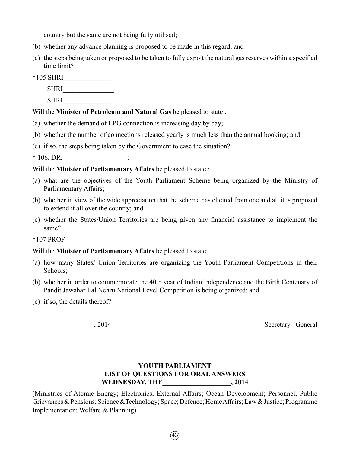country but the same are not being fully utilised;

- (b) whether any advance planning is proposed to be made in this regard; and
- (c) the steps being taken or proposed to be taken to fully expoit the natural gas reserves within a specified time limit?
- \*105 SHRI\_\_\_\_\_\_\_\_\_\_\_\_\_\_

SHRI

SHRI

## Will the **Minister of Petroleum and Natural Gas** be pleased to state :

- (a) whether the demand of LPG connection is increasing day by day;
- (b) whether the number of connections released yearly is much less than the annual booking; and
- (c) if so, the steps being taken by the Government to ease the situation?

 $*$  106. DR. \_\_\_\_\_\_\_\_\_\_\_\_\_\_\_\_:

## Will the **Minister of Parliamentary Affairs** be pleased to state :

- (a) what are the objectives of the Youth Parliament Scheme being organized by the Ministry of Parliamentary Affairs;
- (b) whether in view of the wide appreciation that the scheme has elicited from one and all it is proposed to extend it all over the country; and
- (c) whether the States/Union Territories are being given any financial assistance to implement the same?

 $*107$  PROF

### Will the **Minister of Parliamentary Affairs** be pleased to state:

- (a) how many States/ Union Territories are organizing the Youth Parliament Competitions in their Schools;
- (b) whether in order to commemorate the 40th year of Indian Independence and the Birth Centenary of Pandit Jawahar Lal Nehru National Level Competition is being organized; and
- (c) if so, the details thereof?

\_\_\_\_\_\_\_\_\_\_\_\_\_\_\_\_\_\_, 2014 Secretary –General

# **YOUTH PARLIAMENT LIST OF QUESTIONS FOR ORAL ANSWERS WEDNESDAY, THE\_\_\_\_\_\_\_\_\_\_\_\_\_\_\_\_\_\_\_\_, 2014**

(Ministries of Atomic Energy; Electronics; External Affairs; Ocean Development; Personnel, Public Grievances & Pensions; Science &Technology; Space; Defence; Home Affairs; Law & Justice; Programme Implementation; Welfare & Planning)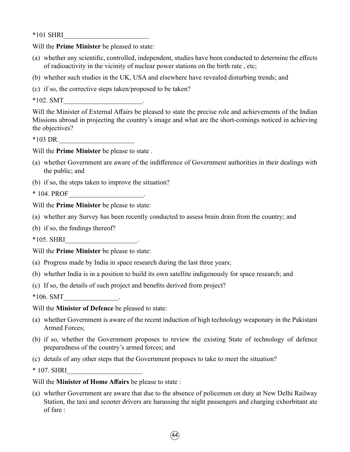$*101$  SHRI

Will the **Prime Minister** be pleased to state:

- (a) whether any scientific, controlled, independent, studies have been conducted to determine the effects of radioactivity in the vicinity of nuclear power stations on the birth rate , etc;
- (b) whether such studies in the UK, USA and elsewhere have revealed disturbing trends; and

(c) if so, the corrective steps taken/proposed to be taken?

 $*102. SMT$ 

Will the Minister of External Affairs be pleased to state the precise role and achievements of the Indian Missions abroad in projecting the country's image and what are the short-comings noticed in achieving the objectives?

 $*103$  DR.

Will the **Prime Minister** be please to state .

- (a) whether Government are aware of the indifference of Government authorities in their dealings with the public; and
- (b) if so, the steps taken to improve the situation?

\* 104. PROF\_\_\_\_\_\_\_\_\_\_\_\_\_\_\_\_\_\_\_\_\_\_.

Will the **Prime Minister** be please to state:

- (a) whether any Survey has been recently conducted to assess brain drain from the country; and
- (b) if so, the findings thereof?

 $*105.$  SHRI $\qquad \qquad \ldots$ 

Will the **Prime Minister** be please to state:

- (a) Progress made by India in space research during the last three years;
- (b) whether India is in a position to build its own satellite indigenously for space research; and
- (c) If so, the details of such project and benefits derived from project?

 $*106. SMT$  .

Will the **Minister of Defence** be pleased to state:

- (a) whether Government is aware of the recent induction of high technology weaponary in the Pakistani Armed Forces;
- (b) if so, whether the Government proposes to review the existing State of technology of defence preparedness of the country's armed forces; and
- (c) details of any other steps that the Government proposes to take to meet the situation?

 $*$  107. SHRI

#### Will the **Minister of Home Affairs** be please to state :

(a) whether Government are aware that due to the absence of policemen on duty at New Delhi Railway Station, the taxi and scooter drivers are harassing the night passengers and charging exhorbitant ate of fare :

 $\left(44\right)$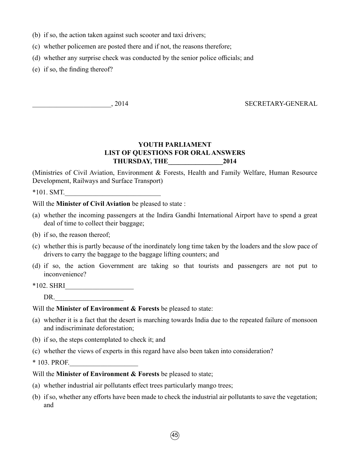- (b) if so, the action taken against such scooter and taxi drivers;
- (c) whether policemen are posted there and if not, the reasons therefore;
- (d) whether any surprise check was conducted by the senior police officials; and
- (e) if so, the finding thereof?

# \_\_\_\_\_\_\_\_\_\_\_\_\_\_\_\_\_\_\_\_\_\_\_, 2014 SECRETARY-GENERAL

# **YOUTH PARLIAMENT LIST OF QUESTIONS FOR ORAL ANSWERS THURSDAY, THE\_\_\_\_\_\_\_\_\_\_\_\_\_\_\_\_2014**

(Ministries of Civil Aviation, Environment & Forests, Health and Family Welfare, Human Resource Development, Railways and Surface Transport)

 $*101.$  SMT.

Will the **Minister of Civil Aviation** be pleased to state :

- (a) whether the incoming passengers at the Indira Gandhi International Airport have to spend a great deal of time to collect their baggage;
- (b) if so, the reason thereof;
- (c) whether this is partly because of the inordinately long time taken by the loaders and the slow pace of drivers to carry the baggage to the baggage lifting counters; and
- (d) if so, the action Government are taking so that tourists and passengers are not put to inconvenience?
- \*102. SHRI\_\_\_\_\_\_\_\_\_\_\_\_\_\_\_\_\_\_\_\_

 $DR.$ 

Will the **Minister of Environment & Forests** be pleased to state:

- (a) whether it is a fact that the desert is marching towards India due to the repeated failure of monsoon and indiscriminate deforestation;
- (b) if so, the steps contemplated to check it; and
- (c) whether the views of experts in this regard have also been taken into consideration?

\* 103. PROF.

- Will the **Minister of Environment & Forests** be pleased to state;
- (a) whether industrial air pollutants effect trees particularly mango trees;
- (b) if so, whether any efforts have been made to check the industrial air pollutants to save the vegetation; and

 $(45$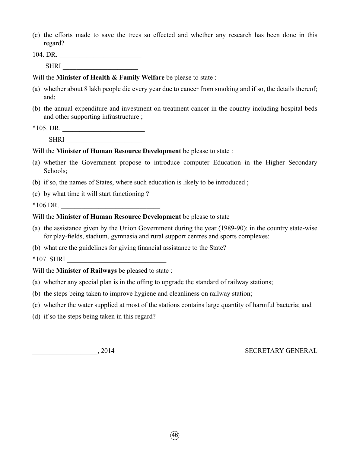(c) the efforts made to save the trees so effected and whether any research has been done in this regard?

104. DR. \_\_\_\_\_\_\_\_\_\_\_\_\_\_\_\_\_\_\_\_\_\_\_\_

SHRI \_\_\_\_\_\_\_\_\_\_\_\_\_\_\_\_\_\_\_\_\_\_

Will the **Minister of Health & Family Welfare** be please to state :

- (a) whether about 8 lakh people die every year due to cancer from smoking and if so, the details thereof; and;
- (b) the annual expenditure and investment on treatment cancer in the country including hospital beds and other supporting infrastructure ;

\*105. DR. \_\_\_\_\_\_\_\_\_\_\_\_\_\_\_\_\_\_\_\_\_\_\_\_

SHRI \_\_\_\_\_\_\_\_\_\_\_\_\_\_\_\_\_\_\_\_\_\_

Will the **Minister of Human Resource Development** be please to state :

- (a) whether the Government propose to introduce computer Education in the Higher Secondary Schools;
- (b) if so, the names of States, where such education is likely to be introduced ;
- (c) by what time it will start functioning ?

 $*106$  DR.

## Will the **Minister of Human Resource Development** be please to state

- (a) the assistance given by the Union Government during the year (1989-90): in the country state-wise for play-fields, stadium, gymnasia and rural support centres and sports complexes:
- (b) what are the guidelines for giving financial assistance to the State?

 $*107.$  SHRI

Will the **Minister of Railways** be pleased to state :

- (a) whether any special plan is in the offing to upgrade the standard of railway stations;
- (b) the steps being taken to improve hygiene and cleanliness on railway station;
- (c) whether the water supplied at most of the stations contains large quantity of harmful bacteria; and
- (d) if so the steps being taken in this regard?

\_\_\_\_\_\_\_\_\_\_\_\_\_\_\_\_\_\_\_, 2014 SECRETARY GENERAL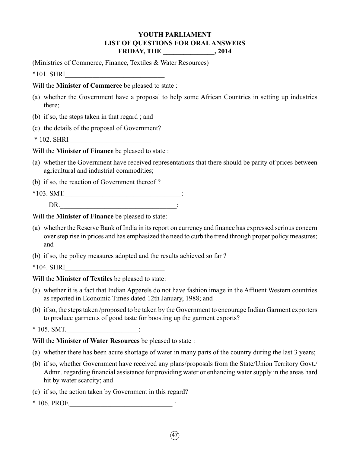# **YOUTH PARLIAMENT LIST OF QUESTIONS FOR ORAL ANSWERS FRIDAY, THE \_\_\_\_\_\_\_\_\_\_\_\_\_\_\_, 2014**

(Ministries of Commerce, Finance, Textiles & Water Resources)

 $*101.$  SHRI

Will the **Minister of Commerce** be pleased to state :

- (a) whether the Government have a proposal to help some African Countries in setting up industries there;
- (b) if so, the steps taken in that regard ; and
- (c) the details of the proposal of Government?

\* 102. SHRI\_\_\_\_\_\_\_\_\_\_\_\_\_\_\_\_\_\_\_\_\_\_\_\_

Will the **Minister of Finance** be pleased to state :

- (a) whether the Government have received representations that there should be parity of prices between agricultural and industrial commodities;
- (b) if so, the reaction of Government thereof ?
- $*103. SMT.$ DR.  $\qquad \qquad$  :

Will the **Minister of Finance** be pleased to state:

- (a) whether the Reserve Bank of India in its report on currency and finance has expressed serious concern over step rise in prices and has emphasized the need to curb the trend through proper policy measures; and
- (b) if so, the policy measures adopted and the results achieved so far ?

 $*104.$  SHRI

- Will the **Minister of Textiles** be pleased to state:
- (a) whether it is a fact that Indian Apparels do not have fashion image in the Affluent Western countries as reported in Economic Times dated 12th January, 1988; and
- (b) if so, the steps taken /proposed to be taken by the Government to encourage Indian Garment exporters to produce garments of good taste for boosting up the garment exports?

 $*$  105. SMT.  $\vdots$ 

Will the **Minister of Water Resources** be pleased to state :

- (a) whether there has been acute shortage of water in many parts of the country during the last 3 years;
- (b) if so, whether Government have received any plans/proposals from the State/Union Territory Govt./ Admn. regarding financial assistance for providing water or enhancing water supply in the areas hard hit by water scarcity; and
- (c) if so, the action taken by Government in this regard?
- \* 106. PROF.\_\_\_\_\_\_\_\_\_\_\_\_\_\_\_\_\_\_\_\_\_\_\_\_\_\_\_\_\_\_ :